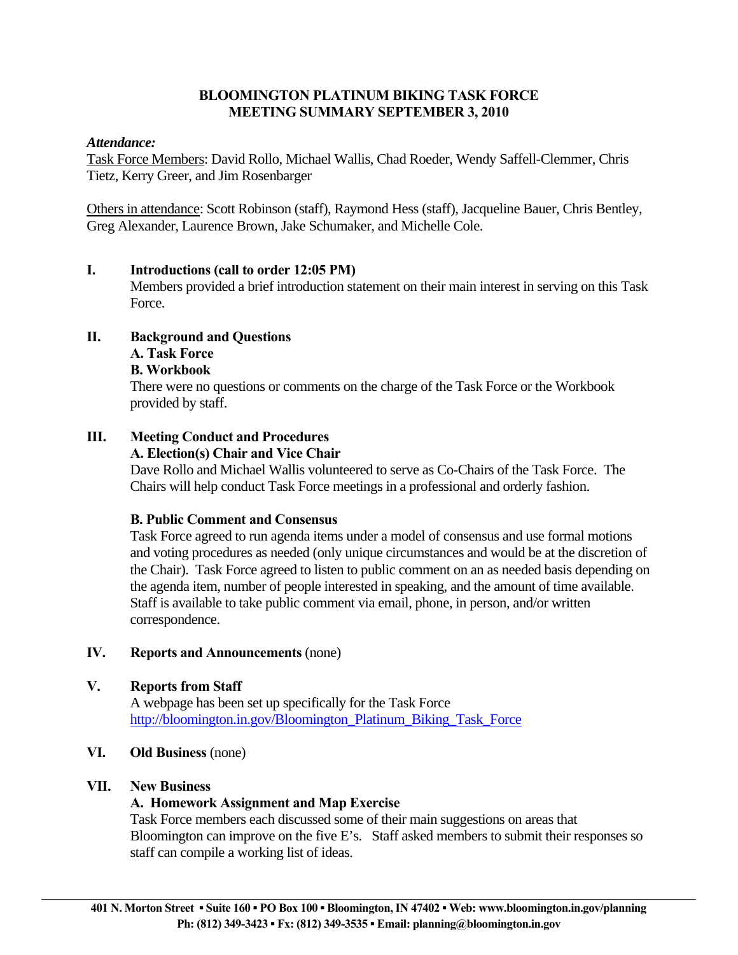# **BLOOMINGTON PLATINUM BIKING TASK FORCE MEETING SUMMARY SEPTEMBER 3, 2010**

#### *Attendance:*

Task Force Members: David Rollo, Michael Wallis, Chad Roeder, Wendy Saffell-Clemmer, Chris Tietz, Kerry Greer, and Jim Rosenbarger

Others in attendance: Scott Robinson (staff), Raymond Hess (staff), Jacqueline Bauer, Chris Bentley, Greg Alexander, Laurence Brown, Jake Schumaker, and Michelle Cole.

#### **I. Introductions (call to order 12:05 PM)**

 Members provided a brief introduction statement on their main interest in serving on this Task Force.

# **II. Background and Questions**

#### **A. Task Force**

#### **B. Workbook**

 There were no questions or comments on the charge of the Task Force or the Workbook provided by staff.

# **III. Meeting Conduct and Procedures**

#### **A. Election(s) Chair and Vice Chair**

 Dave Rollo and Michael Wallis volunteered to serve as Co-Chairs of the Task Force. The Chairs will help conduct Task Force meetings in a professional and orderly fashion.

# **B. Public Comment and Consensus**

 Task Force agreed to run agenda items under a model of consensus and use formal motions and voting procedures as needed (only unique circumstances and would be at the discretion of the Chair). Task Force agreed to listen to public comment on an as needed basis depending on the agenda item, number of people interested in speaking, and the amount of time available. Staff is available to take public comment via email, phone, in person, and/or written correspondence.

# **IV. Reports and Announcements** (none)

# **V. Reports from Staff**

 A webpage has been set up specifically for the Task Force http://bloomington.in.gov/Bloomington Platinum Biking Task Force

# **VI. Old Business** (none)

# **VII. New Business**

# **A. Homework Assignment and Map Exercise**

 Task Force members each discussed some of their main suggestions on areas that Bloomington can improve on the five E's. Staff asked members to submit their responses so staff can compile a working list of ideas.